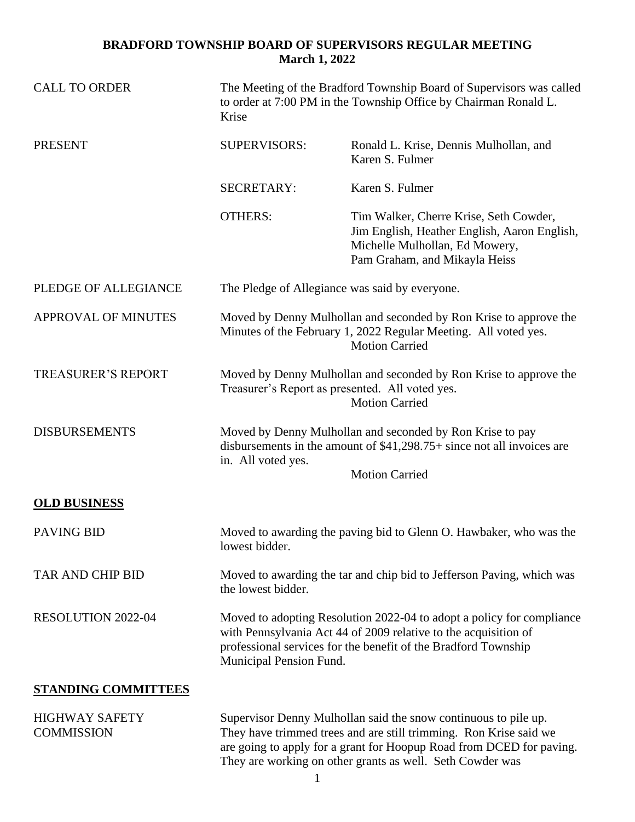## **BRADFORD TOWNSHIP BOARD OF SUPERVISORS REGULAR MEETING March 1, 2022**

| <b>CALL TO ORDER</b>                       | Krise                                                                                                                                                                                                                                                                     | The Meeting of the Bradford Township Board of Supervisors was called<br>to order at 7:00 PM in the Township Office by Chairman Ronald L.                                                                   |
|--------------------------------------------|---------------------------------------------------------------------------------------------------------------------------------------------------------------------------------------------------------------------------------------------------------------------------|------------------------------------------------------------------------------------------------------------------------------------------------------------------------------------------------------------|
| <b>PRESENT</b>                             | <b>SUPERVISORS:</b>                                                                                                                                                                                                                                                       | Ronald L. Krise, Dennis Mulhollan, and<br>Karen S. Fulmer                                                                                                                                                  |
|                                            | <b>SECRETARY:</b>                                                                                                                                                                                                                                                         | Karen S. Fulmer                                                                                                                                                                                            |
|                                            | <b>OTHERS:</b>                                                                                                                                                                                                                                                            | Tim Walker, Cherre Krise, Seth Cowder,<br>Jim English, Heather English, Aaron English,<br>Michelle Mulhollan, Ed Mowery,<br>Pam Graham, and Mikayla Heiss                                                  |
| PLEDGE OF ALLEGIANCE                       | The Pledge of Allegiance was said by everyone.                                                                                                                                                                                                                            |                                                                                                                                                                                                            |
| <b>APPROVAL OF MINUTES</b>                 |                                                                                                                                                                                                                                                                           | Moved by Denny Mulhollan and seconded by Ron Krise to approve the<br>Minutes of the February 1, 2022 Regular Meeting. All voted yes.<br><b>Motion Carried</b>                                              |
| <b>TREASURER'S REPORT</b>                  | Treasurer's Report as presented. All voted yes.                                                                                                                                                                                                                           | Moved by Denny Mulhollan and seconded by Ron Krise to approve the<br><b>Motion Carried</b>                                                                                                                 |
| <b>DISBURSEMENTS</b>                       | Moved by Denny Mulhollan and seconded by Ron Krise to pay<br>disbursements in the amount of $$41,298.75+$ since not all invoices are<br>in. All voted yes.                                                                                                                |                                                                                                                                                                                                            |
|                                            |                                                                                                                                                                                                                                                                           | <b>Motion Carried</b>                                                                                                                                                                                      |
| <b>OLD BUSINESS</b>                        |                                                                                                                                                                                                                                                                           |                                                                                                                                                                                                            |
| <b>PAVING BID</b>                          | lowest bidder.                                                                                                                                                                                                                                                            | Moved to awarding the paving bid to Glenn O. Hawbaker, who was the                                                                                                                                         |
| <b>TAR AND CHIP BID</b>                    | Moved to awarding the tar and chip bid to Jefferson Paving, which was<br>the lowest bidder.                                                                                                                                                                               |                                                                                                                                                                                                            |
| RESOLUTION 2022-04                         | Municipal Pension Fund.                                                                                                                                                                                                                                                   | Moved to adopting Resolution 2022-04 to adopt a policy for compliance<br>with Pennsylvania Act 44 of 2009 relative to the acquisition of<br>professional services for the benefit of the Bradford Township |
| <b>STANDING COMMITTEES</b>                 |                                                                                                                                                                                                                                                                           |                                                                                                                                                                                                            |
| <b>HIGHWAY SAFETY</b><br><b>COMMISSION</b> | Supervisor Denny Mulhollan said the snow continuous to pile up.<br>They have trimmed trees and are still trimming. Ron Krise said we<br>are going to apply for a grant for Hoopup Road from DCED for paving.<br>They are working on other grants as well. Seth Cowder was |                                                                                                                                                                                                            |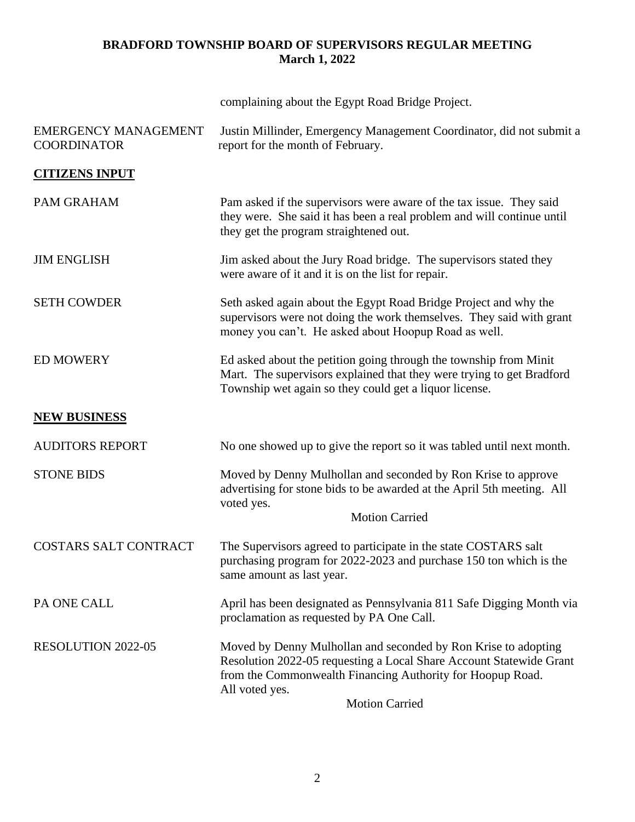## **BRADFORD TOWNSHIP BOARD OF SUPERVISORS REGULAR MEETING March 1, 2022**

|                                                   | complaining about the Egypt Road Bridge Project.                                                                                                                                                                      |  |
|---------------------------------------------------|-----------------------------------------------------------------------------------------------------------------------------------------------------------------------------------------------------------------------|--|
| <b>EMERGENCY MANAGEMENT</b><br><b>COORDINATOR</b> | Justin Millinder, Emergency Management Coordinator, did not submit a<br>report for the month of February.                                                                                                             |  |
| <b>CITIZENS INPUT</b>                             |                                                                                                                                                                                                                       |  |
| PAM GRAHAM                                        | Pam asked if the supervisors were aware of the tax issue. They said<br>they were. She said it has been a real problem and will continue until<br>they get the program straightened out.                               |  |
| <b>JIM ENGLISH</b>                                | Jim asked about the Jury Road bridge. The supervisors stated they<br>were aware of it and it is on the list for repair.                                                                                               |  |
| <b>SETH COWDER</b>                                | Seth asked again about the Egypt Road Bridge Project and why the<br>supervisors were not doing the work themselves. They said with grant<br>money you can't. He asked about Hoopup Road as well.                      |  |
| <b>ED MOWERY</b>                                  | Ed asked about the petition going through the township from Minit<br>Mart. The supervisors explained that they were trying to get Bradford<br>Township wet again so they could get a liquor license.                  |  |
| <b>NEW BUSINESS</b>                               |                                                                                                                                                                                                                       |  |
| <b>AUDITORS REPORT</b>                            | No one showed up to give the report so it was tabled until next month.                                                                                                                                                |  |
| <b>STONE BIDS</b>                                 | Moved by Denny Mulhollan and seconded by Ron Krise to approve<br>advertising for stone bids to be awarded at the April 5th meeting. All<br>voted yes.<br><b>Motion Carried</b>                                        |  |
| <b>COSTARS SALT CONTRACT</b>                      | The Supervisors agreed to participate in the state COSTARS salt<br>purchasing program for 2022-2023 and purchase 150 ton which is the<br>same amount as last year.                                                    |  |
| PA ONE CALL                                       | April has been designated as Pennsylvania 811 Safe Digging Month via<br>proclamation as requested by PA One Call.                                                                                                     |  |
| RESOLUTION 2022-05                                | Moved by Denny Mulhollan and seconded by Ron Krise to adopting<br>Resolution 2022-05 requesting a Local Share Account Statewide Grant<br>from the Commonwealth Financing Authority for Hoopup Road.<br>All voted yes. |  |

Motion Carried